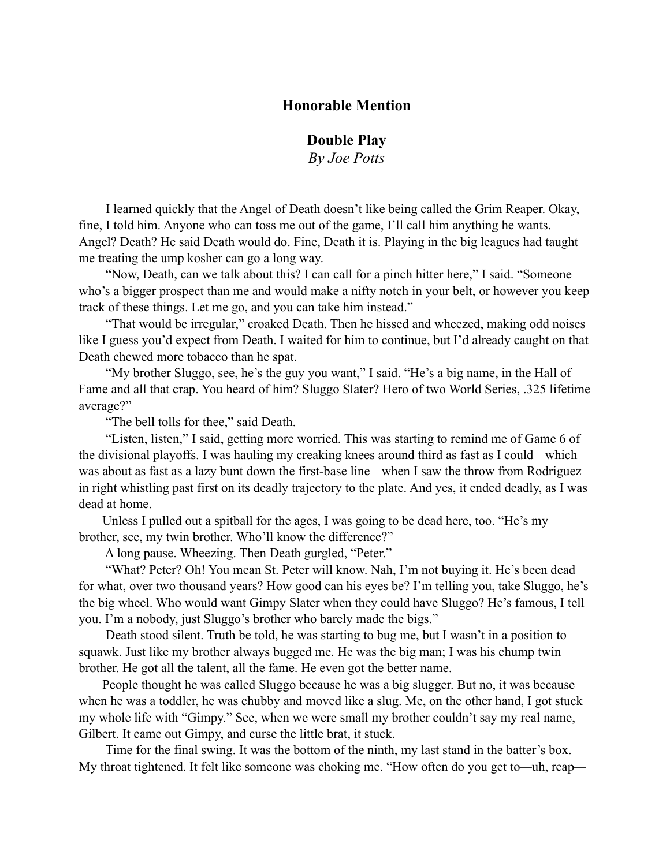## **Honorable Mention**

**Double Play**

*By Joe Potts*

 I learned quickly that the Angel of Death doesn't like being called the Grim Reaper. Okay, fine, I told him. Anyone who can toss me out of the game, I'll call him anything he wants. Angel? Death? He said Death would do. Fine, Death it is. Playing in the big leagues had taught me treating the ump kosher can go a long way.

 "Now, Death, can we talk about this? I can call for a pinch hitter here," I said. "Someone who's a bigger prospect than me and would make a nifty notch in your belt, or however you keep track of these things. Let me go, and you can take him instead."

 "That would be irregular," croaked Death. Then he hissed and wheezed, making odd noises like I guess you'd expect from Death. I waited for him to continue, but I'd already caught on that Death chewed more tobacco than he spat.

 "My brother Sluggo, see, he's the guy you want," I said. "He's a big name, in the Hall of Fame and all that crap. You heard of him? Sluggo Slater? Hero of two World Series, .325 lifetime average?"

"The bell tolls for thee," said Death.

 "Listen, listen," I said, getting more worried. This was starting to remind me of Game 6 of the divisional playoffs. I was hauling my creaking knees around third as fast as I could*—*which was about as fast as a lazy bunt down the first-base line*—*when I saw the throw from Rodriguez in right whistling past first on its deadly trajectory to the plate. And yes, it ended deadly, as I was dead at home.

Unless I pulled out a spitball for the ages, I was going to be dead here, too. "He's my brother, see, my twin brother. Who'll know the difference?"

A long pause. Wheezing. Then Death gurgled, "Peter."

 "What? Peter? Oh! You mean St. Peter will know. Nah, I'm not buying it. He's been dead for what, over two thousand years? How good can his eyes be? I'm telling you, take Sluggo, he's the big wheel. Who would want Gimpy Slater when they could have Sluggo? He's famous, I tell you. I'm a nobody, just Sluggo's brother who barely made the bigs."

 Death stood silent. Truth be told, he was starting to bug me, but I wasn't in a position to squawk. Just like my brother always bugged me. He was the big man; I was his chump twin brother. He got all the talent, all the fame. He even got the better name.

People thought he was called Sluggo because he was a big slugger. But no, it was because when he was a toddler, he was chubby and moved like a slug. Me, on the other hand, I got stuck my whole life with "Gimpy." See, when we were small my brother couldn't say my real name, Gilbert. It came out Gimpy, and curse the little brat, it stuck.

 Time for the final swing. It was the bottom of the ninth, my last stand in the batter's box. My throat tightened. It felt like someone was choking me. "How often do you get to*—*uh, reap*—*